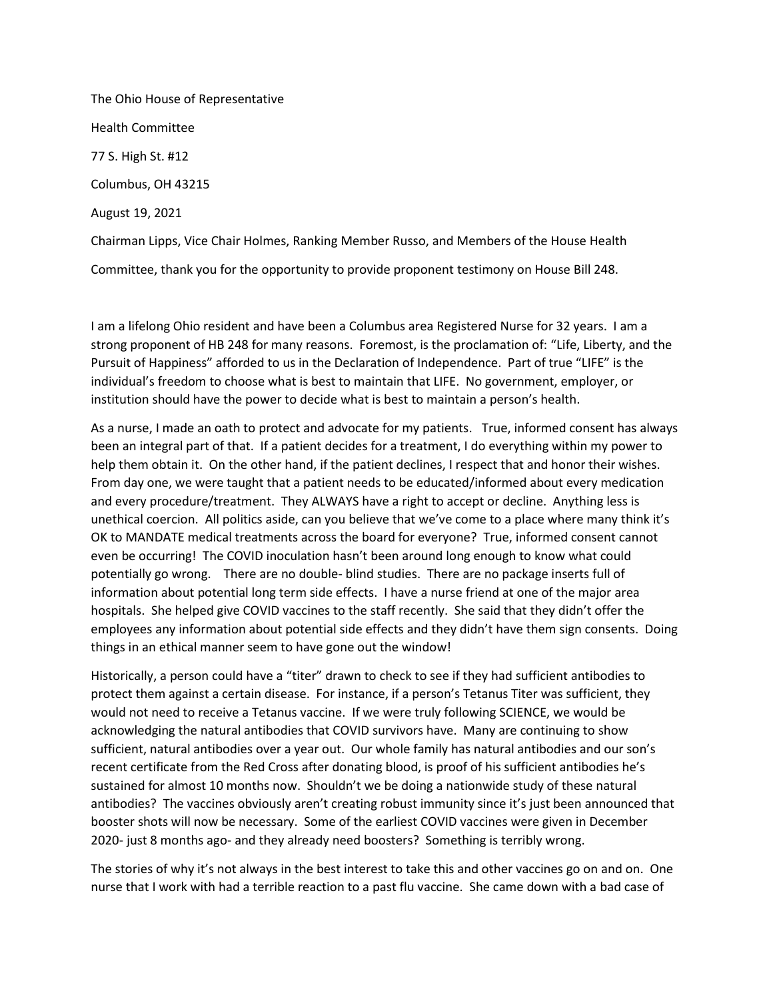The Ohio House of Representative Health Committee 77 S. High St. #12 Columbus, OH 43215 August 19, 2021 Chairman Lipps, Vice Chair Holmes, Ranking Member Russo, and Members of the House Health

Committee, thank you for the opportunity to provide proponent testimony on House Bill 248.

I am a lifelong Ohio resident and have been a Columbus area Registered Nurse for 32 years. I am a strong proponent of HB 248 for many reasons. Foremost, is the proclamation of: "Life, Liberty, and the Pursuit of Happiness" afforded to us in the Declaration of Independence. Part of true "LIFE" is the individual's freedom to choose what is best to maintain that LIFE. No government, employer, or institution should have the power to decide what is best to maintain a person's health.

As a nurse, I made an oath to protect and advocate for my patients. True, informed consent has always been an integral part of that. If a patient decides for a treatment, I do everything within my power to help them obtain it. On the other hand, if the patient declines, I respect that and honor their wishes. From day one, we were taught that a patient needs to be educated/informed about every medication and every procedure/treatment. They ALWAYS have a right to accept or decline. Anything less is unethical coercion. All politics aside, can you believe that we've come to a place where many think it's OK to MANDATE medical treatments across the board for everyone? True, informed consent cannot even be occurring! The COVID inoculation hasn't been around long enough to know what could potentially go wrong. There are no double- blind studies. There are no package inserts full of information about potential long term side effects. I have a nurse friend at one of the major area hospitals. She helped give COVID vaccines to the staff recently. She said that they didn't offer the employees any information about potential side effects and they didn't have them sign consents. Doing things in an ethical manner seem to have gone out the window!

Historically, a person could have a "titer" drawn to check to see if they had sufficient antibodies to protect them against a certain disease. For instance, if a person's Tetanus Titer was sufficient, they would not need to receive a Tetanus vaccine. If we were truly following SCIENCE, we would be acknowledging the natural antibodies that COVID survivors have. Many are continuing to show sufficient, natural antibodies over a year out. Our whole family has natural antibodies and our son's recent certificate from the Red Cross after donating blood, is proof of his sufficient antibodies he's sustained for almost 10 months now. Shouldn't we be doing a nationwide study of these natural antibodies? The vaccines obviously aren't creating robust immunity since it's just been announced that booster shots will now be necessary. Some of the earliest COVID vaccines were given in December 2020- just 8 months ago- and they already need boosters? Something is terribly wrong.

The stories of why it's not always in the best interest to take this and other vaccines go on and on. One nurse that I work with had a terrible reaction to a past flu vaccine. She came down with a bad case of